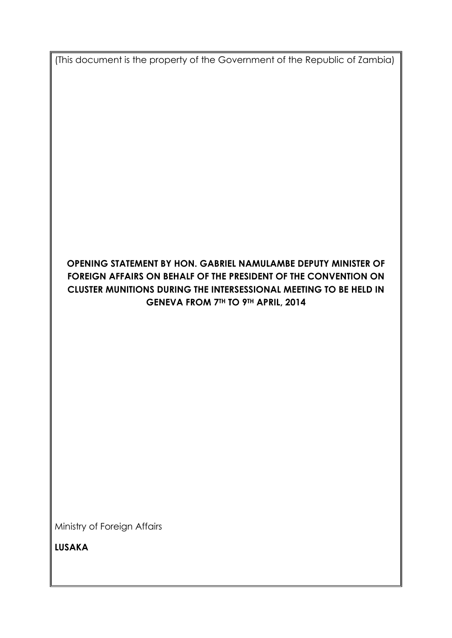(This document is the property of the Government of the Republic of Zambia)

# **OPENING STATEMENT BY HON. GABRIEL NAMULAMBE DEPUTY MINISTER OF FOREIGN AFFAIRS ON BEHALF OF THE PRESIDENT OF THE CONVENTION ON CLUSTER MUNITIONS DURING THE INTERSESSIONAL MEETING TO BE HELD IN GENEVA FROM 7TH TO 9TH APRIL, 2014**

Ministry of Foreign Affairs

**LUSAKA**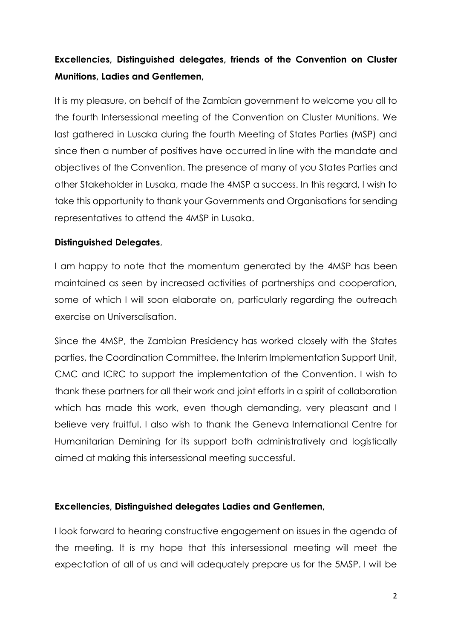# **Excellencies, Distinguished delegates, friends of the Convention on Cluster Munitions, Ladies and Gentlemen,**

It is my pleasure, on behalf of the Zambian government to welcome you all to the fourth Intersessional meeting of the Convention on Cluster Munitions. We last gathered in Lusaka during the fourth Meeting of States Parties (MSP) and since then a number of positives have occurred in line with the mandate and objectives of the Convention. The presence of many of you States Parties and other Stakeholder in Lusaka, made the 4MSP a success. In this regard, I wish to take this opportunity to thank your Governments and Organisations for sending representatives to attend the 4MSP in Lusaka.

# **Distinguished Delegates**,

I am happy to note that the momentum generated by the 4MSP has been maintained as seen by increased activities of partnerships and cooperation, some of which I will soon elaborate on, particularly regarding the outreach exercise on Universalisation.

Since the 4MSP, the Zambian Presidency has worked closely with the States parties, the Coordination Committee, the Interim Implementation Support Unit, CMC and ICRC to support the implementation of the Convention. I wish to thank these partners for all their work and joint efforts in a spirit of collaboration which has made this work, even though demanding, very pleasant and I believe very fruitful. I also wish to thank the Geneva International Centre for Humanitarian Demining for its support both administratively and logistically aimed at making this intersessional meeting successful.

# **Excellencies, Distinguished delegates Ladies and Gentlemen,**

I look forward to hearing constructive engagement on issues in the agenda of the meeting. It is my hope that this intersessional meeting will meet the expectation of all of us and will adequately prepare us for the 5MSP. I will be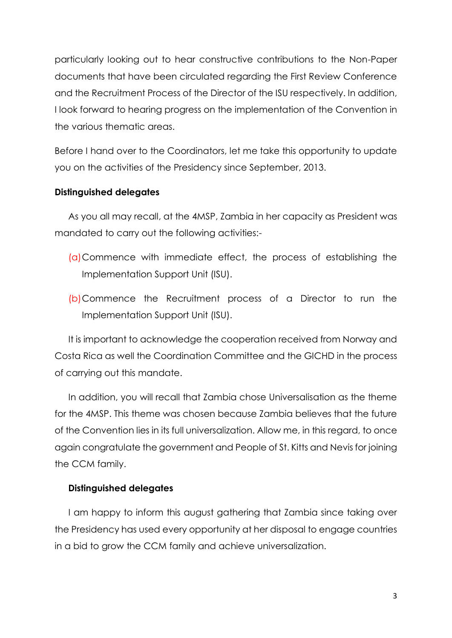particularly looking out to hear constructive contributions to the Non-Paper documents that have been circulated regarding the First Review Conference and the Recruitment Process of the Director of the ISU respectively. In addition, I look forward to hearing progress on the implementation of the Convention in the various thematic areas.

Before I hand over to the Coordinators, let me take this opportunity to update you on the activities of the Presidency since September, 2013.

#### **Distinguished delegates**

As you all may recall, at the 4MSP, Zambia in her capacity as President was mandated to carry out the following activities:-

- (a)Commence with immediate effect, the process of establishing the Implementation Support Unit (ISU).
- (b)Commence the Recruitment process of a Director to run the Implementation Support Unit (ISU).

It is important to acknowledge the cooperation received from Norway and Costa Rica as well the Coordination Committee and the GICHD in the process of carrying out this mandate.

In addition, you will recall that Zambia chose Universalisation as the theme for the 4MSP. This theme was chosen because Zambia believes that the future of the Convention lies in its full universalization. Allow me, in this regard, to once again congratulate the government and People of St. Kitts and Nevis for joining the CCM family.

### **Distinguished delegates**

I am happy to inform this august gathering that Zambia since taking over the Presidency has used every opportunity at her disposal to engage countries in a bid to grow the CCM family and achieve universalization.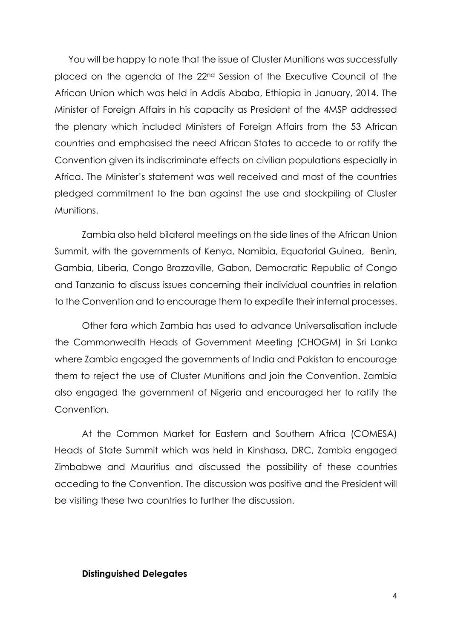You will be happy to note that the issue of Cluster Munitions was successfully placed on the agenda of the 22nd Session of the Executive Council of the African Union which was held in Addis Ababa, Ethiopia in January, 2014. The Minister of Foreign Affairs in his capacity as President of the 4MSP addressed the plenary which included Ministers of Foreign Affairs from the 53 African countries and emphasised the need African States to accede to or ratify the Convention given its indiscriminate effects on civilian populations especially in Africa. The Minister's statement was well received and most of the countries pledged commitment to the ban against the use and stockpiling of Cluster Munitions.

Zambia also held bilateral meetings on the side lines of the African Union Summit, with the governments of Kenya, Namibia, Equatorial Guinea, Benin, Gambia, Liberia, Congo Brazzaville, Gabon, Democratic Republic of Congo and Tanzania to discuss issues concerning their individual countries in relation to the Convention and to encourage them to expedite their internal processes.

Other fora which Zambia has used to advance Universalisation include the Commonwealth Heads of Government Meeting (CHOGM) in Sri Lanka where Zambia engaged the governments of India and Pakistan to encourage them to reject the use of Cluster Munitions and join the Convention. Zambia also engaged the government of Nigeria and encouraged her to ratify the Convention.

At the Common Market for Eastern and Southern Africa (COMESA) Heads of State Summit which was held in Kinshasa, DRC, Zambia engaged Zimbabwe and Mauritius and discussed the possibility of these countries acceding to the Convention. The discussion was positive and the President will be visiting these two countries to further the discussion.

#### **Distinguished Delegates**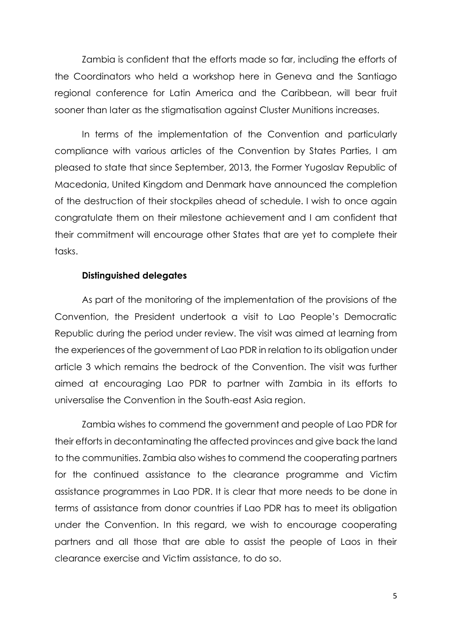Zambia is confident that the efforts made so far, including the efforts of the Coordinators who held a workshop here in Geneva and the Santiago regional conference for Latin America and the Caribbean, will bear fruit sooner than later as the stigmatisation against Cluster Munitions increases.

In terms of the implementation of the Convention and particularly compliance with various articles of the Convention by States Parties, I am pleased to state that since September, 2013, the Former Yugoslav Republic of Macedonia, United Kingdom and Denmark have announced the completion of the destruction of their stockpiles ahead of schedule. I wish to once again congratulate them on their milestone achievement and I am confident that their commitment will encourage other States that are yet to complete their tasks.

#### **Distinguished delegates**

As part of the monitoring of the implementation of the provisions of the Convention, the President undertook a visit to Lao People's Democratic Republic during the period under review. The visit was aimed at learning from the experiences of the government of Lao PDR in relation to its obligation under article 3 which remains the bedrock of the Convention. The visit was further aimed at encouraging Lao PDR to partner with Zambia in its efforts to universalise the Convention in the South-east Asia region.

Zambia wishes to commend the government and people of Lao PDR for their efforts in decontaminating the affected provinces and give back the land to the communities. Zambia also wishes to commend the cooperating partners for the continued assistance to the clearance programme and Victim assistance programmes in Lao PDR. It is clear that more needs to be done in terms of assistance from donor countries if Lao PDR has to meet its obligation under the Convention. In this regard, we wish to encourage cooperating partners and all those that are able to assist the people of Laos in their clearance exercise and Victim assistance, to do so.